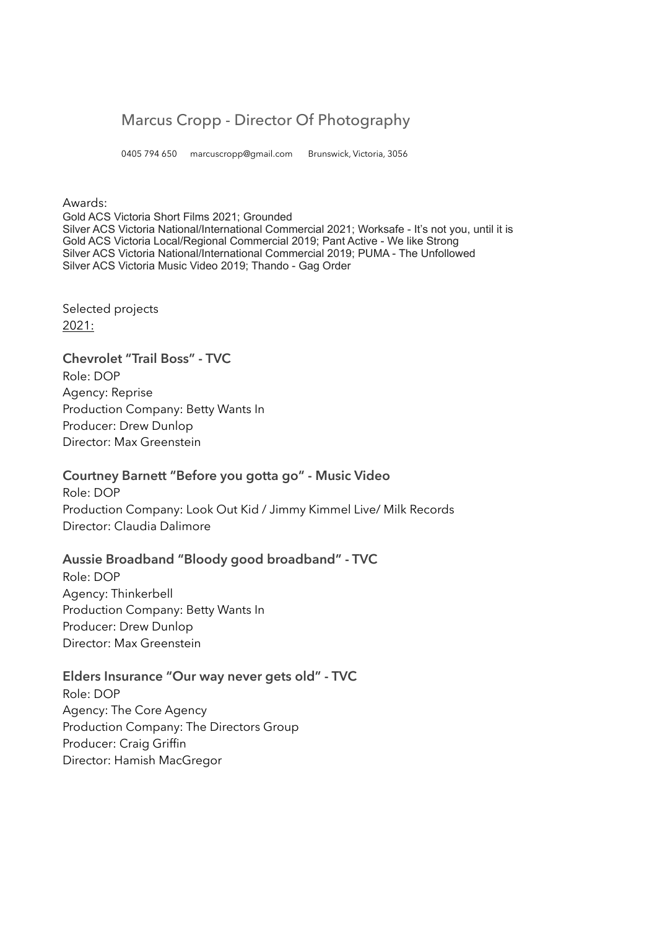# Marcus Cropp - Director Of Photography

0405 794 650 marcuscropp@gmail.com Brunswick, Victoria, 3056

#### Awards:

Gold ACS Victoria Short Films 2021; Grounded Silver ACS Victoria National/International Commercial 2021; Worksafe - It's not you, until it is Gold ACS Victoria Local/Regional Commercial 2019; Pant Active - We like Strong Silver ACS Victoria National/International Commercial 2019; PUMA - The Unfollowed Silver ACS Victoria Music Video 2019; Thando - Gag Order

Selected projects 2021:

# **Chevrolet "Trail Boss" - TVC**

Role: DOP Agency: Reprise Production Company: Betty Wants In Producer: Drew Dunlop Director: Max Greenstein

# **Courtney Barnett "Before you gotta go" - Music Video**

Role: DOP Production Company: Look Out Kid / Jimmy Kimmel Live/ Milk Records Director: Claudia Dalimore

# **Aussie Broadband "Bloody good broadband" - TVC**

Role: DOP Agency: Thinkerbell Production Company: Betty Wants In Producer: Drew Dunlop Director: Max Greenstein

#### **Elders Insurance "Our way never gets old" - TVC**

Role: DOP Agency: The Core Agency Production Company: The Directors Group Producer: Craig Griffin Director: Hamish MacGregor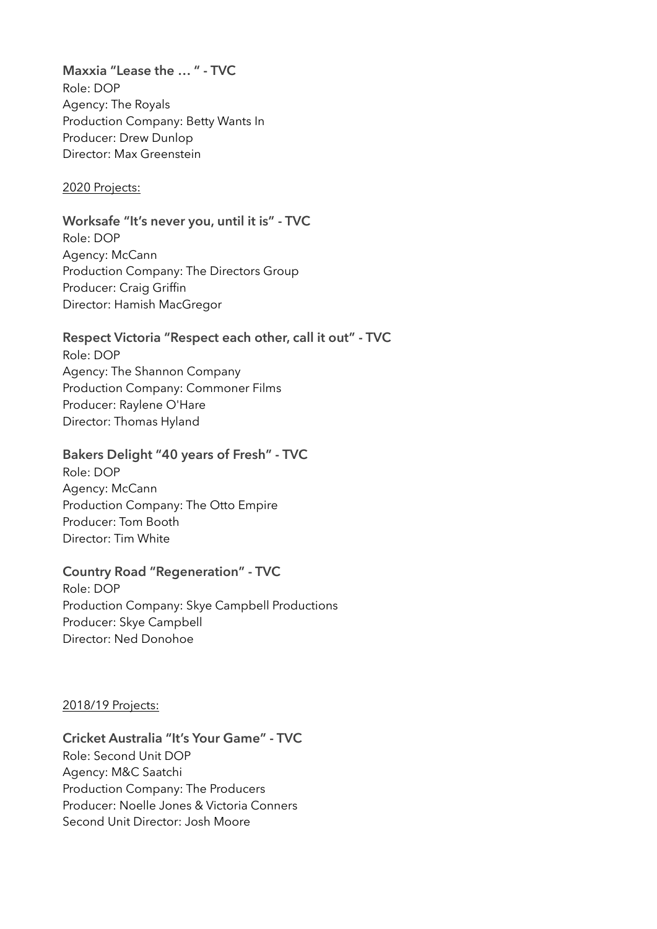**Maxxia "Lease the … " - TVC** Role: DOP Agency: The Royals Production Company: Betty Wants In Producer: Drew Dunlop Director: Max Greenstein

# 2020 Projects:

#### **Worksafe "It's never you, until it is" - TVC**

Role: DOP Agency: McCann Production Company: The Directors Group Producer: Craig Griffin Director: Hamish MacGregor

#### **Respect Victoria "Respect each other, call it out" - TVC**

Role: DOP Agency: The Shannon Company Production Company: Commoner Films Producer: Raylene O'Hare Director: Thomas Hyland

# **Bakers Delight "40 years of Fresh" - TVC**

Role: DOP Agency: McCann Production Company: The Otto Empire Producer: Tom Booth Director: Tim White

# **Country Road "Regeneration" - TVC**

Role: DOP Production Company: Skye Campbell Productions Producer: Skye Campbell Director: Ned Donohoe

#### 2018/19 Projects:

# **Cricket Australia "It's Your Game" - TVC**

Role: Second Unit DOP Agency: M&C Saatchi Production Company: The Producers Producer: Noelle Jones & Victoria Conners Second Unit Director: Josh Moore